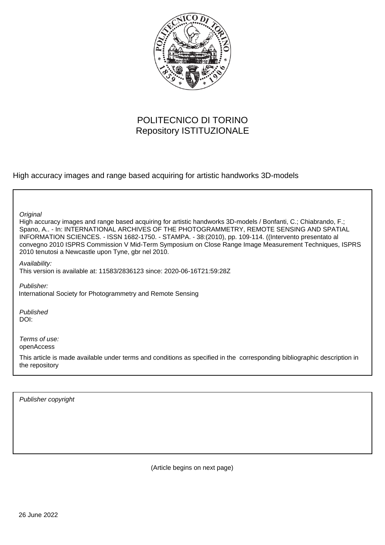

# POLITECNICO DI TORINO Repository ISTITUZIONALE

High accuracy images and range based acquiring for artistic handworks 3D-models

**Original** 

High accuracy images and range based acquiring for artistic handworks 3D-models / Bonfanti, C.; Chiabrando, F.; Spano, A.. - In: INTERNATIONAL ARCHIVES OF THE PHOTOGRAMMETRY, REMOTE SENSING AND SPATIAL INFORMATION SCIENCES. - ISSN 1682-1750. - STAMPA. - 38:(2010), pp. 109-114. ((Intervento presentato al convegno 2010 ISPRS Commission V Mid-Term Symposium on Close Range Image Measurement Techniques, ISPRS 2010 tenutosi a Newcastle upon Tyne, gbr nel 2010.

Availability:

This version is available at: 11583/2836123 since: 2020-06-16T21:59:28Z

Publisher: International Society for Photogrammetry and Remote Sensing

Published DOI:

Terms of use: openAccess

This article is made available under terms and conditions as specified in the corresponding bibliographic description in the repository

Publisher copyright

(Article begins on next page)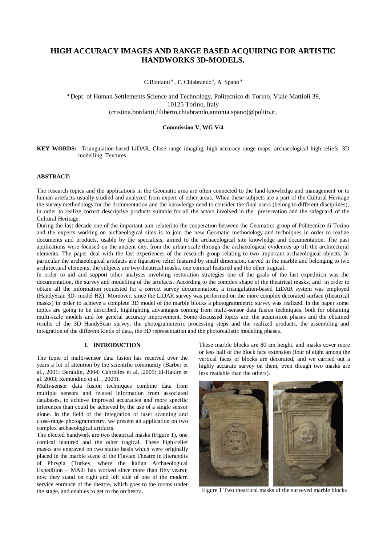## **HIGH ACCURACY IMAGES AND RANGE BASED ACQUIRING FOR ARTISTIC HANDWORKS 3D-MODELS.**

C.Bonfanti<sup>a</sup>, F. Chiabrando<sup>a</sup>, A. Spanò<sup>a</sup>

<sup>a</sup> Dept. of Human Settlements Science and Technology, Politecnico di Torino, Viale Mattioli 39, 10125 Torino, Italy (cristina.bonfanti,filiberto.chiabrando,antonia.spano)@polito.it,

#### **Commission V, WG V/4**

**KEY WORDS:** Triangulation-based LiDAR, Close range imaging, high accuracy range maps, archaeological high-reliefs, 3D modelling, Textures

#### **ABSTRACT:**

The research topics and the applications in the Geomatic area are often connected to the land knowledge and management or to human artefacts usually studied and analyzed from expert of other areas. When these subjects are a part of the Cultural Heritage the survey methodology for the documentation and the knowledge need to consider the final users (belong to different disciplines), in order to realize correct descriptive products suitable for all the actors involved in the preservation and the safeguard of the Cultural Heritage.

During the last decade one of the important aim related to the cooperation between the Geomatics group of Politecnico di Torino and the experts working on archaeological sites is to join the new Geomatic methodology and techniques in order to realize documents and products, usable by the specialists, aimed to the archaeological site knowledge and documentation. The past applications were focused on the ancient city, from the urban scale through the archaeological evidences up till the architectural elements. The paper deal with the last experiences of the research group relating to two important archaeological objects. In particular the archaeological artefacts are figurative relief featured by small dimension, carved in the marble and belonging to two architectural elements; the subjects are two theatrical masks, one comical featured and the other tragical.

In order to aid and support other analyses involving restoration strategies one of the goals of the last expedition was the documentation, the survey and modelling of the artefacts. According to the complex shape of the theatrical masks, and in order to obtain all the information requested for a correct survey documentation, a triangulation-based LiDAR system was employed (HandyScan 3D- model HZ). Moreover, since the LiDAR survey was performed on the more complex decorated surface (theatrical masks) in order to achieve a complete 3D model of the marble blocks a photogrammetric survey was realized. In the paper some topics are going to be described, highlighting advantages coming from multi-sensor data fusion techniques, both for obtaining multi-scale models and for general accuracy improvement. Some discussed topics are: the acquisition phases and the obtained results of the 3D HandyScan survey, the photogrammetric processing steps and the realized products, the assembling and integration of the different kinds of data, the 3D representation and the photorealistic modeling phases.

#### **1. INTRODUCTION**

The topic of multi-sensor data fusion has received over the years a lot of attention by the scientific community (Barber et al., 2001; Beraldin, 2004; Cabrelles et al. ,2009; El-Hakim et al. 2003; Remondino et al. , 2009).

Multi-sensor data fusion techniques combine data from multiple sensors and related information from associated databases, to achieve improved accuracies and more specific inferences than could be achieved by the use of a single sensor alone. In the field of the integration of laser scanning and close-range photogrammetry, we present an application on two complex archaeological artifacts.

The elected handwork are two theatrical masks (Figure 1), one comical featured and the other tragical. These high-relief masks are engraved on two statue basis which were originally placed in the marble scene of the Flavian Theatre in Hierapolis of Phrygia (Turkey, where the Italian Archaeological Expedition – MAIE has worked since more than fifty years); now they stand on right and left side of one of the modern service entrance of the theatre, which goes to the rooms under the stage, and enables to get to the orchestra.

These marble blocks are 80 cm height, and masks cover more or less half of the block face extension (four of eight among the vertical faces of blocks are decorated, and we carried out a highly accurate survey on them, even though two masks are less readable than the others).



Figure 1 Two theatrical masks of the surveyed marble blocks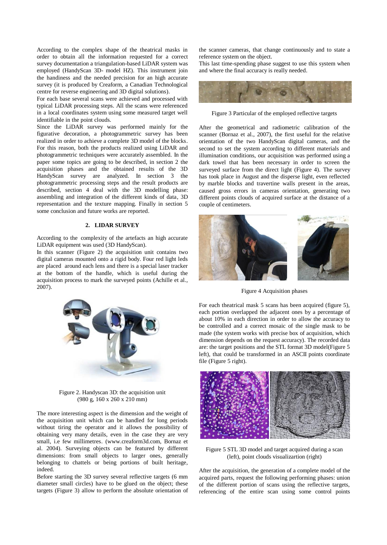According to the complex shape of the theatrical masks in order to obtain all the information requested for a correct survey documentation a triangulation-based LiDAR system was employed (HandyScan 3D- model HZ). This instrument join the handiness and the needed precision for an high accurate survey (it is produced by Creaform, a Canadian Technological centre for reverse engineering and 3D digital solutions).

For each base several scans were achieved and processed with typical LiDAR processing steps. All the scans were referenced in a local coordinates system using some measured target well identifiable in the point clouds.

Since the LiDAR survey was performed mainly for the figurative decoration, a photogrammetric survey has been realized in order to achieve a complete 3D model of the blocks. For this reason, both the products realized using LiDAR and photogrammetric techniques were accurately assembled. In the paper some topics are going to be described, in section 2 the acquisition phases and the obtained results of the 3D HandyScan survey are analyzed. In section 3 the photogrammetric processing steps and the result products are described, section 4 deal with the 3D modelling phase: assembling and integration of the different kinds of data, 3D representation and the texture mapping. Finally in section 5 some conclusion and future works are reported.

#### **2. LIDAR SURVEY**

According to the complexity of the artefacts an high accurate LiDAR equipment was used (3D HandyScan).

In this scanner (Figure 2) the acquisition unit contains two digital cameras mounted onto a rigid body. Four red light leds are placed around each lens and there is a special laser tracker at the bottom of the handle, which is useful during the acquisition process to mark the surveyed points (Achille et al., 2007).



Figure 2. Handyscan 3D: the acquisition unit (980 g, 160 x 260 x 210 mm)

The more interesting aspect is the dimension and the weight of the acquisition unit which can be handled for long periods without tiring the operator and it allows the possibility of obtaining very many details, even in the case they are very small, i.e few millimetres. [\(www.creaform3d.com,](http://www.creaform3d.com/) Bornaz et al. 2004). Surveying objects can be featured by different dimensions: from small objects to larger ones, generally belonging to chattels or being portions of built heritage, indeed.

Before starting the 3D survey several reflective targets (6 mm diameter small circles) have to be glued on the object; these targets (Figure 3) allow to perform the absolute orientation of the scanner cameras, that change continuously and to state a reference system on the object.

This last time-spending phase suggest to use this system when and where the final accuracy is really needed.



Figure 3 Particular of the employed reflective targets

After the geometrical and radiometric calibration of the scanner (Bornaz et al., 2007), the first useful for the relative orientation of the two HandyScan digital cameras, and the second to set the system according to different materials and illumination conditions, our acquisition was performed using a dark towel that has been necessary in order to screen the surveyed surface from the direct light (Figure 4). The survey has took place in August and the disperse light, even reflected by marble blocks and travertine walls present in the areas, caused gross errors in cameras orientation, generating two different points clouds of acquired surface at the distance of a couple of centimeters.



Figure 4 Acquisition phases

For each theatrical mask 5 scans has been acquired (figure 5), each portion overlapped the adjacent ones by a percentage of about 10% in each direction in order to allow the accuracy to be controlled and a correct mosaic of the single mask to be made (the system works with precise box of acquisition, which dimension depends on the request accuracy). The recorded data are: the target positions and the STL format 3D model(Figure 5 left), that could be transformed in an ASCII points coordinate file (Figure 5 right).



Figure 5 STL 3D model and target acquired during a scan (left), point clouds visualizartion (right)

After the acquisition, the generation of a complete model of the acquired parts, request the following performing phases: union of the different portion of scans using the reflective targets, referencing of the entire scan using some control points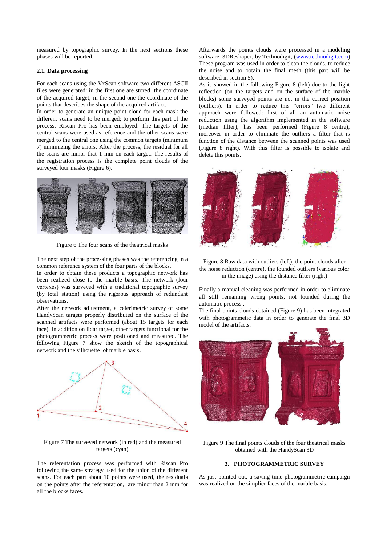measured by topographic survey. In the next sections these phases will be reported.

### **2.1. Data processing**

For each scans using the VxScan software two different ASCII files were generated: in the first one are stored the coordinate of the acquired target, in the second one the coordinate of the points that describes the shape of the acquired artifact.

In order to generate an unique point cloud for each mask the different scans need to be merged; to perform this part of the process, Riscan Pro has been employed. The targets of the central scans were used as reference and the other scans were merged to the central one using the common targets (minimum 7) minimizing the errors. After the process, the residual for all the scans are minor that 1 mm on each target. The results of the registration process is the complete point clouds of the surveyed four masks (Figure 6).



Figure 6 The four scans of the theatrical masks

The next step of the processing phases was the referencing in a common reference system of the four parts of the blocks.

In order to obtain these products a topographic network has been realized close to the marble basis. The network (four vertexes) was surveyed with a traditional topographic survey (by total station) using the rigorous approach of redundant observations.

After the network adjustment, a celerimetric survey of some HandyScan targets properly distributed on the surface of the scanned artifacts were performed (about 15 targets for each face). In addition on lidar target, other targets functional for the photogrammetric process were positioned and measured. The following Figure 7 show the sketch of the topographical network and the silhouette of marble basis.



Figure 7 The surveyed network (in red) and the measured targets (cyan)

The referentation process was performed with Riscan Pro following the same strategy used for the union of the different scans. For each part about 10 points were used, the residuals on the points after the referentation, are minor than 2 mm for all the blocks faces.

Afterwards the points clouds were processed in a modeling software: 3DReshaper, by Technodigit, [\(www.technodigit.com\)](http://www.technodigit.com/) These program was used in order to clean the clouds, to reduce the noise and to obtain the final mesh (this part will be described in section 5).

As is showed in the following Figure 8 (left) due to the light reflection (on the targets and on the surface of the marble blocks) some surveyed points are not in the correct position (outliers). In order to reduce this "errors" two different approach were followed: first of all an automatic noise reduction using the algorithm implemented in the software (median filter), has been performed (Figure 8 centre), moreover in order to eliminate the outliers a filter that is function of the distance between the scanned points was used (Figure 8 right). With this filter is possible to isolate and delete this points.





Finally a manual cleaning was performed in order to eliminate all still remaining wrong points, not founded during the automatic process .

The final points clouds obtained (Figure 9) has been integrated with photogrammetic data in order to generate the final 3D model of the artifacts.



Figure 9 The final points clouds of the four theatrical masks obtained with the HandyScan 3D

## **3. PHOTOGRAMMETRIC SURVEY**

As just pointed out, a saving time photogrammetric campaign was realized on the simplier faces of the marble basis.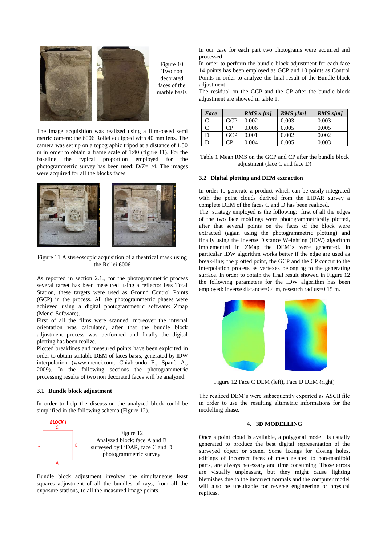

Figure 10 Two non decorated faces of the marble basis

The image acquisition was realized using a film-based semi metric camera: the 6006 Rollei equipped with 40 mm lens. The camera was set up on a topographic tripod at a distance of 1.50 m in order to obtain a frame scale of 1:40 (figure 11). For the baseline the typical proportion employed for the photogrammetric survey has been used:  $D/Z=1/4$ . The images were acquired for all the blocks faces.



Figure 11 A stereoscopic acquisition of a theatrical mask using the Rollei 6006

As reported in section 2.1., for the photogrammetric process several target has been measured using a reflector less Total Station, these targets were used as Ground Control Points (GCP) in the process. All the photogrammetric phases were achieved using a digital photogrammetric software: Zmap (Menci Software).

First of all the films were scanned, moreover the internal orientation was calculated, after that the bundle block adjustment process was performed and finally the digital plotting has been realize.

Plotted breaklines and measured points have been exploited in order to obtain suitable DEM of faces basis, generated by IDW interpolation [\(www.menci.com,](http://www.menci.com/) Chiabrando F., Spanò A., 2009). In the following sections the photogrammetric processing results of two non decorated faces will be analyzed.

#### **3.1 Bundle block adjustment**

In order to help the discussion the analyzed block could be simplified in the following schema (Figure 12).



Bundle block adjustment involves the simultaneous least squares adjustment of all the bundles of rays, from all the exposure stations, to all the measured image points.

In our case for each part two photograms were acquired and processed.

In order to perform the bundle block adjustment for each face 14 points has been employed as GCP and 10 points as Control Points in order to analyze the final result of the Bundle block adjustment.

The residual on the GCP and the CP after the bundle block adjustment are showed in table 1.

| Face |            | RMS x [m] | $RMS$ y[m] | RMS z[m] |
|------|------------|-----------|------------|----------|
|      | GCP        | 0.002     | 0.003      | 0.003    |
|      | CP         | 0.006     | 0.005      | 0.005    |
|      | <b>GCP</b> | 0.001     | 0.002      | 0.002    |
|      | CP         | 0.004     | 0.005      | 0.003    |

Table 1 Mean RMS on the GCP and CP after the bundle block adjustment (face C and face D)

## **3.2 Digital plotting and DEM extraction**

In order to generate a product which can be easily integrated with the point clouds derived from the LiDAR survey a complete DEM of the faces C and D has been realized.

The strategy employed is the following: first of all the edges of the two face moldings were photogrammetrically plotted, after that several points on the faces of the block were extracted (again using the photogrammetric plotting) and finally using the Inverse Distance Weighting (IDW) algorithm implemented in ZMap the DEM's were generated. In particular IDW algorithm works better if the edge are used as break-line; the plotted point, the GCP and the CP concur to the interpolation process as vertexes belonging to the generating surface. In order to obtain the final result showed in Figure 12 the following parameters for the IDW algorithm has been employed: inverse distance=0.4 m, research radius=0.15 m.



Figure 12 Face C DEM (left), Face D DEM (right)

The realized DEM's were subsequently exported as ASCII file in order to use the resulting altimetric informations for the modelling phase.

## **4. 3D MODELLING**

Once a point cloud is available, a polygonal model is usually generated to produce the best digital representation of the surveyed object or scene. Some fixings for closing holes, editings of incorrect faces of mesh related to non-manifold parts, are always necessary and time consuming. Those errors are visually unpleasant, but they might cause lighting blemishes due to the incorrect normals and the computer model will also be unsuitable for reverse engineering or physical replicas.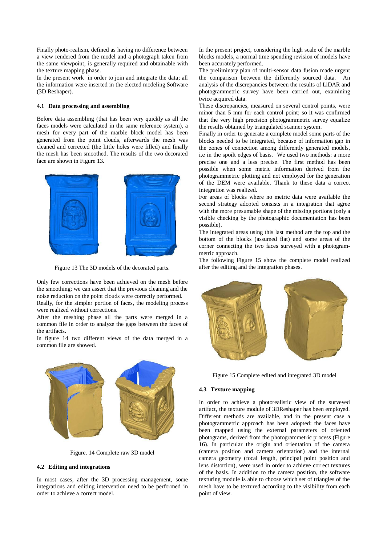Finally photo-realism, defined as having no difference between a view rendered from the model and a photograph taken from the same viewpoint, is generally required and obtainable with the texture mapping phase.

In the present work in order to join and integrate the data; all the information were inserted in the elected modeling Software (3D Reshaper).

#### **4.1 Data processing and assembling**

Before data assembling (that has been very quickly as all the faces models were calculated in the same reference system), a mesh for every part of the marble block model has been generated from the point clouds, afterwards the mesh was cleaned and corrected (the little holes were filled) and finally the mesh has been smoothed. The results of the two decorated face are shown in Figure 13.



Figure 13 The 3D models of the decorated parts.

Only few corrections have been achieved on the mesh before the smoothing; we can assert that the previous cleaning and the noise reduction on the point clouds were correctly performed.

Really, for the simpler portion of faces, the modeling process were realized without corrections.

After the meshing phase all the parts were merged in a common file in order to analyze the gaps between the faces of the artifacts.

In figure 14 two different views of the data merged in a common file are showed.



Figure. 14 Complete raw 3D model

#### **4.2 Editing and integrations**

In most cases, after the 3D processing management, some integrations and editing intervention need to be performed in order to achieve a correct model.

In the present project, considering the high scale of the marble blocks models, a normal time spending revision of models have been accurately performed.

The preliminary plan of multi-sensor data fusion made urgent the comparison between the differently sourced data. An analysis of the discrepancies between the results of LiDAR and photogrammetric survey have been carried out, examining twice acquired data.

These discrepancies, measured on several control points, were minor than 5 mm for each control point; so it was confirmed that the very high precision photogrammetric survey equalize the results obtained by triangulated scanner system.

Finally in order to generate a complete model some parts of the blocks needed to be integrated, because of information gap in the zones of connection among differently generated models, i.e in the spoilt edges of basis. We used two methods: a more precise one and a less precise. The first method has been possible when some metric information derived from the photogrammetric plotting and not employed for the generation of the DEM were available. Thank to these data a correct integration was realized.

For areas of blocks where no metric data were available the second strategy adopted consists in a integration that agree with the more presumable shape of the missing portions (only a visible checking by the photographic documentation has been possible).

The integrated areas using this last method are the top and the bottom of the blocks (assumed flat) and some areas of the corner connecting the two faces surveyed with a photogrammetric approach.

The following Figure 15 show the complete model realized after the editing and the integration phases.



Figure 15 Complete edited and integrated 3D model

#### **4.3 Texture mapping**

In order to achieve a photorealistic view of the surveyed artifact, the texture module of 3DReshaper has been employed. Different methods are available, and in the present case a photogrammetric approach has been adopted: the faces have been mapped using the external parameters of oriented photograms, derived from the photogrammetric process (Figure 16). In particular the origin and orientation of the camera (camera position and camera orientation) and the internal camera geometry (focal length, principal point position and lens distortion), were used in order to achieve correct textures of the basis. In addition to the camera position, the software texturing module is able to choose which set of triangles of the mesh have to be textured according to the visibility from each point of view.